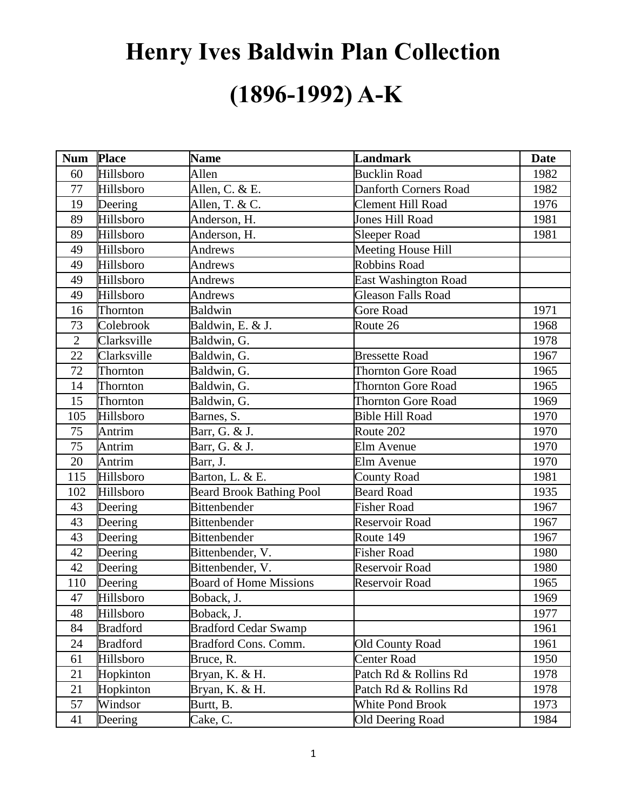## **Henry Ives Baldwin Plan Collection (1896-1992) A-K**

| <b>Num</b>     | Place           | <b>Name</b>                     | <b>Landmark</b>             | <b>Date</b> |
|----------------|-----------------|---------------------------------|-----------------------------|-------------|
| 60             | Hillsboro       | Allen                           | <b>Bucklin Road</b>         | 1982        |
| 77             | Hillsboro       | Allen, C. & E.                  | Danforth Corners Road       | 1982        |
| 19             | Deering         | Allen, T. & C.                  | Clement Hill Road           | 1976        |
| 89             | Hillsboro       | Anderson, H.                    | <b>Jones Hill Road</b>      | 1981        |
| 89             | Hillsboro       | Anderson, H.                    | <b>Sleeper Road</b>         | 1981        |
| 49             | Hillsboro       | Andrews                         | Meeting House Hill          |             |
| 49             | Hillsboro       | Andrews                         | <b>Robbins Road</b>         |             |
| 49             | Hillsboro       | Andrews                         | <b>East Washington Road</b> |             |
| 49             | Hillsboro       | Andrews                         | <b>Gleason Falls Road</b>   |             |
| 16             | Thornton        | Baldwin                         | Gore Road                   | 1971        |
| 73             | Colebrook       | Baldwin, E. & J.                | Route 26                    | 1968        |
| $\overline{2}$ | Clarksville     | Baldwin, G.                     |                             | 1978        |
| 22             | Clarksville     | Baldwin, G.                     | <b>Bressette Road</b>       | 1967        |
| 72             | Thornton        | Baldwin, G.                     | <b>Thornton Gore Road</b>   | 1965        |
| 14             | Thornton        | Baldwin, G.                     | <b>Thornton Gore Road</b>   | 1965        |
| 15             | Thornton        | Baldwin, G.                     | <b>Thornton Gore Road</b>   | 1969        |
| 105            | Hillsboro       | Barnes, S.                      | <b>Bible Hill Road</b>      | 1970        |
| 75             | Antrim          | Barr, G. & J.                   | Route 202                   | 1970        |
| 75             | Antrim          | Barr, G. & J.                   | Elm Avenue                  | 1970        |
| 20             | Antrim          | Barr, J.                        | Elm Avenue                  | 1970        |
| 115            | Hillsboro       | Barton, L. & E.                 | <b>County Road</b>          | 1981        |
| 102            | Hillsboro       | <b>Beard Brook Bathing Pool</b> | <b>Beard Road</b>           | 1935        |
| 43             | Deering         | <b>Bittenbender</b>             | <b>Fisher Road</b>          | 1967        |
| 43             | Deering         | Bittenbender                    | Reservoir Road              | 1967        |
| 43             | Deering         | <b>Bittenbender</b>             | Route 149                   | 1967        |
| 42             | Deering         | Bittenbender, V.                | <b>Fisher Road</b>          | 1980        |
| 42             | Deering         | Bittenbender, V.                | Reservoir Road              | 1980        |
| 110            | Deering         | <b>Board of Home Missions</b>   | Reservoir Road              | 1965        |
| 47             | Hillsboro       | Boback, J.                      |                             | 1969        |
| 48             | Hillsboro       | Boback, J.                      |                             | 1977        |
| 84             | <b>Bradford</b> | <b>Bradford Cedar Swamp</b>     |                             | 1961        |
| 24             | <b>Bradford</b> | <b>Bradford Cons. Comm.</b>     | <b>Old County Road</b>      | 1961        |
| 61             | Hillsboro       | Bruce, R.                       | <b>Center Road</b>          | 1950        |
| 21             | Hopkinton       | Bryan, K. & H.                  | Patch Rd & Rollins Rd       | 1978        |
| 21             | Hopkinton       | Bryan, K. & H.                  | Patch Rd & Rollins Rd       | 1978        |
| 57             | Windsor         | Burtt, B.                       | <b>White Pond Brook</b>     | 1973        |
| 41             | Deering         | Cake, C.                        | Old Deering Road            | 1984        |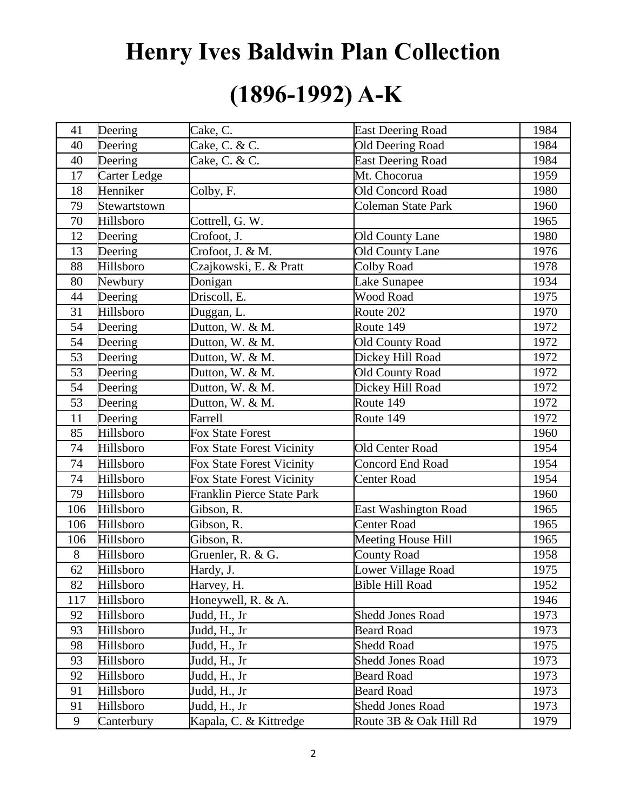### **Henry Ives Baldwin Plan Collection**

#### **(1896-1992) A-K**

| 41  | Deering      | Cake, C.                          | <b>East Deering Road</b>    | 1984 |
|-----|--------------|-----------------------------------|-----------------------------|------|
| 40  | Deering      | Cake, C. & C.                     | Old Deering Road            | 1984 |
| 40  | Deering      | Cake, C. & C.                     | <b>East Deering Road</b>    | 1984 |
| 17  | Carter Ledge |                                   | Mt. Chocorua                | 1959 |
| 18  | Henniker     | Colby, F.                         | Old Concord Road            | 1980 |
| 79  | Stewartstown |                                   | <b>Coleman State Park</b>   | 1960 |
| 70  | Hillsboro    | Cottrell, G. W.                   |                             | 1965 |
| 12  | Deering      | Crofoot, $\overline{J}$ .         | Old County Lane             | 1980 |
| 13  | Deering      | Crofoot, J. & M.                  | <b>Old County Lane</b>      | 1976 |
| 88  | Hillsboro    | Czajkowski, E. & Pratt            | <b>Colby Road</b>           | 1978 |
| 80  | Newbury      | Donigan                           | Lake Sunapee                | 1934 |
| 44  | Deering      | Driscoll, E.                      | Wood Road                   | 1975 |
| 31  | Hillsboro    | Duggan, L.                        | Route 202                   | 1970 |
| 54  | Deering      | Dutton, W. & M.                   | Route 149                   | 1972 |
| 54  | Deering      | Dutton, W. & M.                   | <b>Old County Road</b>      | 1972 |
| 53  | Deering      | Dutton, W. & M.                   | Dickey Hill Road            | 1972 |
| 53  | Deering      | Dutton, W. & M.                   | Old County Road             | 1972 |
| 54  | Deering      | Dutton, W. & M.                   | Dickey Hill Road            | 1972 |
| 53  | Deering      | Dutton, W. & M.                   | Route 149                   | 1972 |
| 11  | Deering      | Farrell                           | Route 149                   | 1972 |
| 85  | Hillsboro    | <b>Fox State Forest</b>           |                             | 1960 |
| 74  | Hillsboro    | Fox State Forest Vicinity         | Old Center Road             | 1954 |
| 74  | Hillsboro    | <b>Fox State Forest Vicinity</b>  | <b>Concord End Road</b>     | 1954 |
| 74  | Hillsboro    | Fox State Forest Vicinity         | <b>Center Road</b>          | 1954 |
| 79  | Hillsboro    | <b>Franklin Pierce State Park</b> |                             | 1960 |
| 106 | Hillsboro    | Gibson, R.                        | <b>East Washington Road</b> | 1965 |
| 106 | Hillsboro    | Gibson, R.                        | <b>Center Road</b>          | 1965 |
| 106 | Hillsboro    | Gibson, R.                        | Meeting House Hill          | 1965 |
| 8   | Hillsboro    | Gruenler, R. & G.                 | <b>County Road</b>          | 1958 |
| 62  | Hillsboro    | Hardy, J.                         | Lower Village Road          | 1975 |
| 82  | Hillsboro    | Harvey, H.                        | <b>Bible Hill Road</b>      | 1952 |
| 117 | Hillsboro    | Honeywell, R. & A.                |                             | 1946 |
| 92  | Hillsboro    | Judd, H., Jr                      | <b>Shedd Jones Road</b>     | 1973 |
| 93  | Hillsboro    | Judd, H., Jr                      | <b>Beard Road</b>           | 1973 |
| 98  | Hillsboro    | Judd, H., Jr                      | <b>Shedd Road</b>           | 1975 |
| 93  | Hillsboro    | Judd, H., Jr                      | <b>Shedd Jones Road</b>     | 1973 |
| 92  | Hillsboro    | Judd, H., Jr                      | <b>Beard Road</b>           | 1973 |
| 91  | Hillsboro    | Judd, H., Jr                      | <b>Beard Road</b>           | 1973 |
| 91  | Hillsboro    | Judd, H., Jr                      | <b>Shedd Jones Road</b>     | 1973 |
| 9   | Canterbury   | Kapala, C. & Kittredge            | Route 3B & Oak Hill Rd      | 1979 |